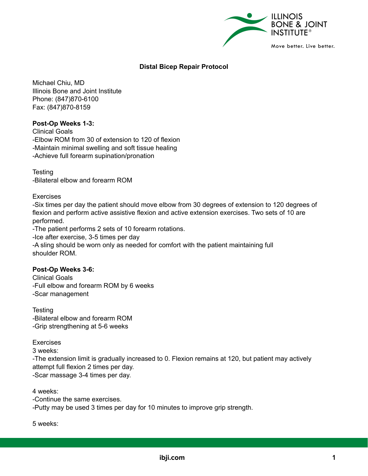

## **Distal Bicep Repair Protocol**

Michael Chiu, MD Illinois Bone and Joint Institute Phone: (847)870-6100 Fax: (847)870-8159

## **Post-Op Weeks 1-3:**

Clinical Goals -Elbow ROM from 30 of extension to 120 of flexion -Maintain minimal swelling and soft tissue healing -Achieve full forearm supination/pronation

**Testing** -Bilateral elbow and forearm ROM

Exercises

-Six times per day the patient should move elbow from 30 degrees of extension to 120 degrees of flexion and perform active assistive flexion and active extension exercises. Two sets of 10 are performed.

-The patient performs 2 sets of 10 forearm rotations.

-Ice after exercise, 3-5 times per day

-A sling should be worn only as needed for comfort with the patient maintaining full shoulder ROM.

## **Post-Op Weeks 3-6:**

Clinical Goals -Full elbow and forearm ROM by 6 weeks -Scar management

**Testing** -Bilateral elbow and forearm ROM -Grip strengthening at 5-6 weeks

Exercises

3 weeks:

-The extension limit is gradually increased to 0. Flexion remains at 120, but patient may actively attempt full flexion 2 times per day.

-Scar massage 3-4 times per day.

4 weeks:

-Continue the same exercises.

-Putty may be used 3 times per day for 10 minutes to improve grip strength.

5 weeks: